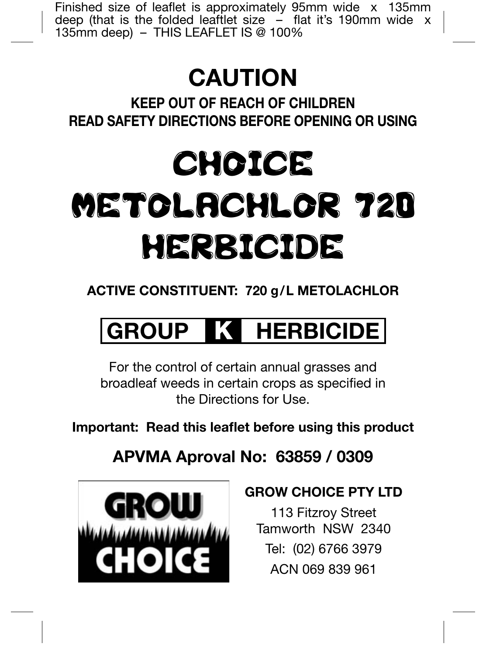Finished size of leaflet is approximately 95mm wide  $x$  135mm deep (that is the folded leaftlet size  $-$  flat it's 190mm wide x 135mm deep) – THIS LEAFLET IS @ 100%

# **CAUTION**

**KEEP OUT OF REACH OF CHILDREN READ SAFETY DIRECTIONS BEFORE OPENING OR USING**

# CHOICE METOLACHLOR 720 HERBICIDE

# **ACTIVE CONSTITUENT: 720 g/L METOLACHLOR**

# **GROUP K HERBICIDE**

For the control of certain annual grasses and broadleaf weeds in certain crops as specified in the Directions for Use.

**Important: Read this leaflet before using this product** 

**APVMA Aproval No: 63859 / 0309**



## **GROW CHOICE PTY LTD**

113 Fitzroy Street Tamworth NSW 2340 Tel: (02) 6766 3979 ACN 069 839 961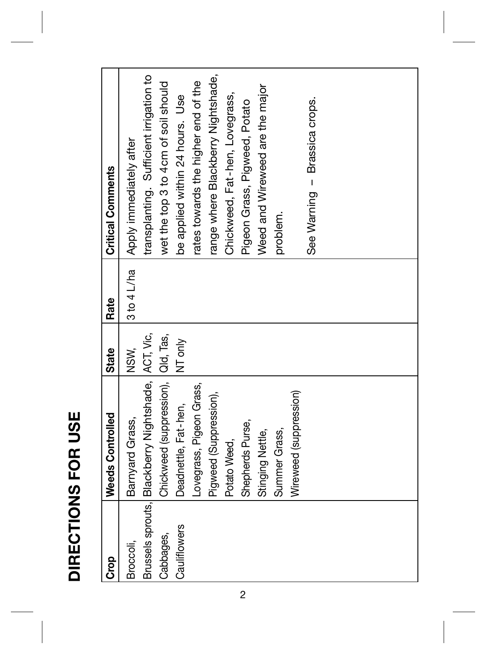| ī<br>î. |
|---------|
| ï       |
|         |
|         |
| ٦       |
|         |
|         |
|         |
|         |
|         |
|         |
|         |

| <b>Grop</b>  | Weeds Controlled                                   | <b>State</b> | Rate        | <b>Critical Comments</b>                |
|--------------|----------------------------------------------------|--------------|-------------|-----------------------------------------|
| Broccoli,    | Barnyard Grass,                                    | NSW,         | 3 to 4 L/ha | Apply immediately after                 |
|              | Brussels sprouts, Blackberry Nightshade, ACT, Vic, |              |             | transplanting. Sufficient irrigation to |
| Cabbages,    | Chickweed (suppression),   Qld, Tas,               |              |             | wet the top 3 to 4cm of soil should     |
| Cauliflowers | Deadnettle, Fat-hen,                               | NT only      |             | be applied within 24 hours. Use         |
|              | Lovegrass, Pigeon Grass,                           |              |             | rates towards the higher end of the     |
|              | Pigweed (Suppression),                             |              |             | range where Blackberry Nightshade,      |
|              | Potato Weed,                                       |              |             | Chickweed, Fat-hen, Lovegrass,          |
|              | Shepherds Purse,                                   |              |             | Pigeon Grass, Pigweed, Potato           |
|              | Stinging Nettle,                                   |              |             | Weed and Wireweed are the major         |
|              | Summer Grass,                                      |              |             | problem.                                |
|              | Wireweed (suppression)                             |              |             |                                         |
|              |                                                    |              |             | See Warning - Brassica crops.           |
|              |                                                    |              |             |                                         |
|              |                                                    |              |             |                                         |
|              |                                                    |              |             |                                         |
|              |                                                    |              |             |                                         |
|              |                                                    |              |             |                                         |
|              |                                                    |              |             |                                         |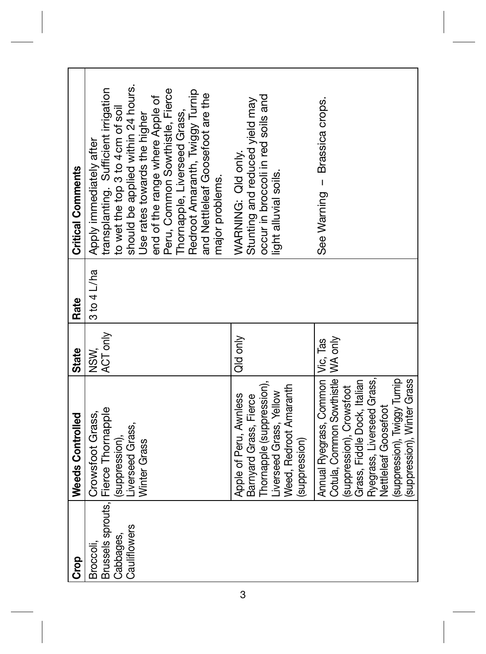| <b>Critical Comments</b> | should be applied within 24 hours.<br>transplanting. Sufficient irrigation<br>Peru, Common Sowthistle, Fierce<br>Redroot Amaranth, Twiggy Turnip<br>and Nettleleaf Goosefoot are the<br>end of the range where Apple of<br>to wet the top 3 to 4 cm of soil<br>Thornapple, Liverseed Grass,<br>Jse rates towards the higher<br>Apply immediately after<br>major problems. | occur in broccoli in red soils and<br>Stunting and reduced yield may<br>WARNING: Qld only.<br>light alluvial soils.                                | See Warning - Brassica crops.                                                                                                                                                                                                                            |
|--------------------------|---------------------------------------------------------------------------------------------------------------------------------------------------------------------------------------------------------------------------------------------------------------------------------------------------------------------------------------------------------------------------|----------------------------------------------------------------------------------------------------------------------------------------------------|----------------------------------------------------------------------------------------------------------------------------------------------------------------------------------------------------------------------------------------------------------|
|                          |                                                                                                                                                                                                                                                                                                                                                                           |                                                                                                                                                    |                                                                                                                                                                                                                                                          |
| Rate                     | 3 to 4 L/ha                                                                                                                                                                                                                                                                                                                                                               |                                                                                                                                                    |                                                                                                                                                                                                                                                          |
| State                    | ACT only<br>NSW.                                                                                                                                                                                                                                                                                                                                                          | Qld only                                                                                                                                           |                                                                                                                                                                                                                                                          |
| <b>Weeds Controlled</b>  | Brussels sprouts, Fierce Thornapple<br>Crowsfoot Grass,<br>Liverseed Grass,<br>(suppression),<br>Winter Grass                                                                                                                                                                                                                                                             | Thornapple (suppression),<br>Weed, Redroot Amaranth<br>Liverseed Grass, Yellow<br>Apple of Peru, Awnless<br>Barnyard Grass, Fierce<br>suppression) | Cotula, Common Sowthistle   WA only<br>Annual Ryegrass, Common   Vic, Tas<br>Ryegrass, Liverseed Grass,<br>suppression), Twiggy Turnip<br>(suppression), Winter Grass<br>Grass, Fiddle Dock, Italian<br>(suppression), Crowsfoot<br>Nettleleaf Goosefoot |
| <b>Poso</b>              | Cauliflowers<br>Cabbages,<br>Broccoli,                                                                                                                                                                                                                                                                                                                                    |                                                                                                                                                    |                                                                                                                                                                                                                                                          |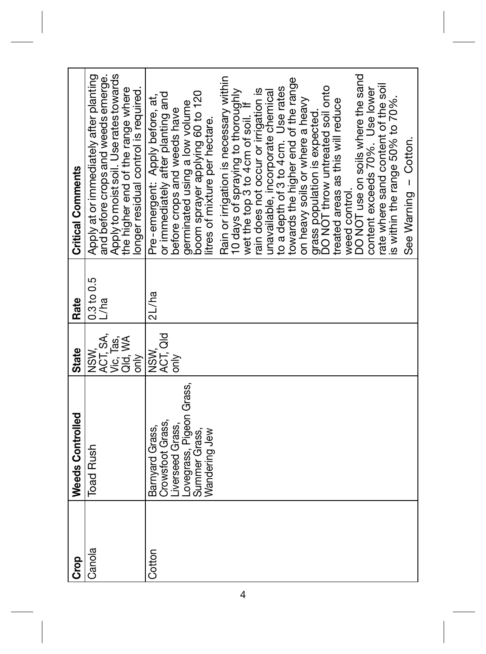| <b>Crop</b> | Weeds Controlled                                                                                                      | <b>State</b>                                              | Rate               | <b>Critical Comments</b>                                                                                                                                                                                                                                                                                                                                                                                                                                                                                                                                                                                                                                                                                                                                                                                                      |
|-------------|-----------------------------------------------------------------------------------------------------------------------|-----------------------------------------------------------|--------------------|-------------------------------------------------------------------------------------------------------------------------------------------------------------------------------------------------------------------------------------------------------------------------------------------------------------------------------------------------------------------------------------------------------------------------------------------------------------------------------------------------------------------------------------------------------------------------------------------------------------------------------------------------------------------------------------------------------------------------------------------------------------------------------------------------------------------------------|
| Canola      | <b>Toad Rush</b>                                                                                                      | ACT, SA,<br>Vic, Tas,<br>Qid, WA<br>NSW,<br>$\frac{1}{2}$ | 0.3 to 0.5<br>L/ha | Apply to moist soil. Use rates towards<br>and before crops and weeds emerge.<br>Apply at or immediately after planting<br>the higher end of the range where<br>onger residual control is required.                                                                                                                                                                                                                                                                                                                                                                                                                                                                                                                                                                                                                            |
| Cotton      | Lovegrass, Pigeon Grass,<br>Summer Grass,<br>Crowsfoot Grass,<br>Liverseed Grass,<br>Barnyard Grass,<br>Wandering Jew | ACT, Qld<br>NSW,<br>only                                  | 2L/ha              | DO NOT use on soils where the sand<br>Rain or irrigation is necessary within<br>towards the higher end of the range<br>rate where sand content of the soil<br>grass population is expected.<br>DO NOT throw untreated soil onto<br>to a depth of 3 to 4 cm. Use rates<br>rain does not occur or irrigation is<br>content exceeds 70%. Use lower<br>10 days of spraying to thoroughly<br>unavailable, incorporate chemical<br>boom sprayer applying 60 to 120<br>or immediately after planting and<br>Pre-emergent: Apply before, at,<br>s within the range 50% to 70%.<br>on heavy soils or where a heavy<br>treated areas as this will reduce<br>germinated using a low volume<br>wet the top 3 to 4cm of soil. If<br>before crops and weeds have<br>itres of mixture per hectare.<br>See Warning - Cotton.<br>weed control. |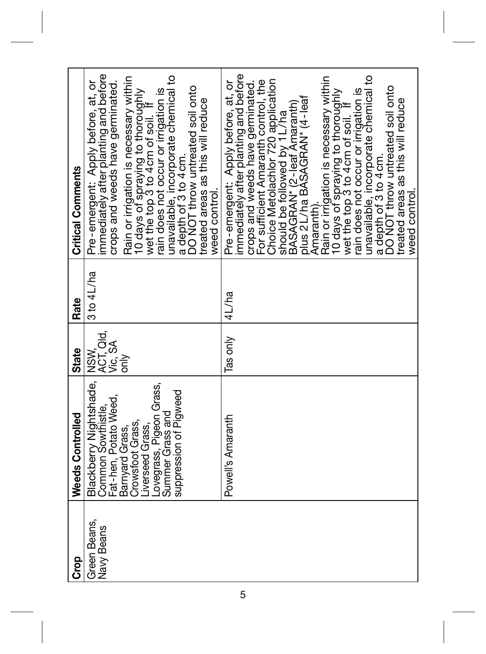| Green Beans,<br><b>Crop</b> | Blackberry Nightshade,<br>Weeds Controlled                                                                                                                                       | <b>State</b>                        | $3 to 4$ L/ha<br>Rate | <b>Critical Comments</b>                                                                                                                                                                                                                                                                                                                                                                                                                                                                                                                                                                                                          |
|-----------------------------|----------------------------------------------------------------------------------------------------------------------------------------------------------------------------------|-------------------------------------|-----------------------|-----------------------------------------------------------------------------------------------------------------------------------------------------------------------------------------------------------------------------------------------------------------------------------------------------------------------------------------------------------------------------------------------------------------------------------------------------------------------------------------------------------------------------------------------------------------------------------------------------------------------------------|
| Navy Beans                  | Lovegrass, Pigeon Grass,<br>suppression of Pigweed<br>Fat-hen, Potato Weed,<br>Common Sowthistle,<br>Summer Grass and<br>Crowsfoot Grass,<br>Liverseed Grass,<br>Barnyard Grass, | NSW<br>ACT, Qld,<br>Vic, SA<br>only |                       | Pre-emergent: Apply before, at, or<br>immediately after planting and before<br>unavailable, incorporate chemical to<br>Rain or irrigation is necessary within<br>crops and weeds have germinated.<br>a depth of 3 to 4 cm.<br>DO NOT throw untreated soil onto<br>rain does not occur or irrigation is<br>10 days of spraying to thoroughly<br>wet the top 3 to 4 cm of soil. If<br>treated areas as this will reduce<br>weed control.                                                                                                                                                                                            |
|                             | Powell's Amaranth                                                                                                                                                                | Tas only                            | 4L/ha                 | Pre-emergent: Apply before, at, or<br>immediately after planting and before<br>unavailable, incorporate chemical to<br>Rain or irrigation is necessary within<br>Choice Metolachlor 720 application<br>should be followed by 1 L/ha<br>BASAGRAN* (2-leaf Amaranth)<br>For sufficient Amaranth control, the<br>crops and weeds have germinated.<br>a depth of 3 to 4 cm.<br>DO NOT throw untreated soil onto<br>rain does not occur or irrigation is<br>10 days of spraying to thoroughly<br>wet the top 3 to 4 cm of soil. If<br>plus 2L/ha BASAGRAN* (4-leaf<br>treated areas as this will reduce<br>weed control.<br>Amaranth). |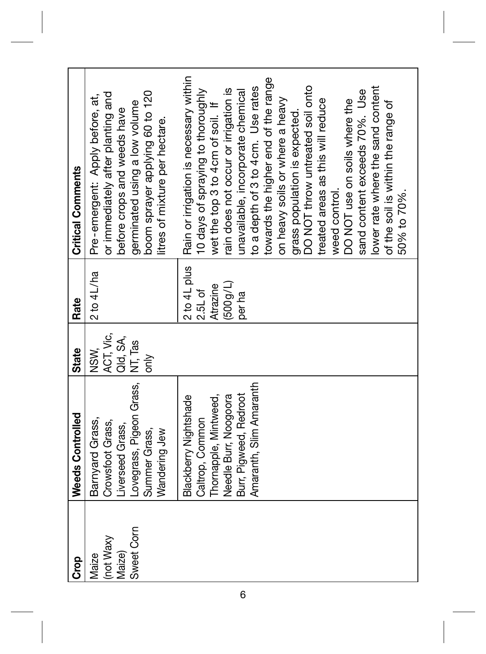| <b>Critical Comments</b> | boom sprayer applying 60 to 120<br>or immediately after planting and<br>Pre-emergent: Apply before, at,<br>germinated using a low volume<br>before crops and weeds have<br>litres of mixture per hectare. | 2 to 4L plus   Rain or irrigation is necessary within<br>towards the higher end of the range<br>lower rate where the sand content<br>to a depth of 3 to 4 cm. Use rates<br>DO NOT throw untreated soil onto<br>rain does not occur or irrigation is<br>unavailable, incorporate chemical<br>sand content exceeds 70%. Use<br>10 days of spraying to thoroughly<br>treated areas as this will reduce<br>on heavy soils or where a heavy<br>DO NOT use on soils where the<br>of the soil is within the range of<br>wet the top 3 to 4 cm of soil. If<br>grass population is expected.<br>weed control.<br>50% to 70%. |
|--------------------------|-----------------------------------------------------------------------------------------------------------------------------------------------------------------------------------------------------------|---------------------------------------------------------------------------------------------------------------------------------------------------------------------------------------------------------------------------------------------------------------------------------------------------------------------------------------------------------------------------------------------------------------------------------------------------------------------------------------------------------------------------------------------------------------------------------------------------------------------|
| Rate                     | $2$ to $4$ L/ha                                                                                                                                                                                           | (500q/L)<br>Atrazine<br>2.5L of<br>per ha                                                                                                                                                                                                                                                                                                                                                                                                                                                                                                                                                                           |
| State                    | ACT, Vic,<br>Qld, SA,<br>NSW,<br>only                                                                                                                                                                     |                                                                                                                                                                                                                                                                                                                                                                                                                                                                                                                                                                                                                     |
| Weeds Controlled         | Lovegrass, Pigeon Grass, NT, Tas<br>Barnyard Grass,<br>Crowsfoot Grass,<br>Liverseed Grass,<br>Summer Grass,<br>Wandering Jew                                                                             | Amaranth, Slim Amaranth<br>Burr, Pigweed, Redroot<br>Needle Burr, Noogoora<br>Blackberry Nightshade<br>Thornapple, Mintweed,<br>Caltrop, Common                                                                                                                                                                                                                                                                                                                                                                                                                                                                     |
| <b>Orop</b>              | Sweet Corn<br>Inot Waxy<br>Maize)<br>Maize                                                                                                                                                                |                                                                                                                                                                                                                                                                                                                                                                                                                                                                                                                                                                                                                     |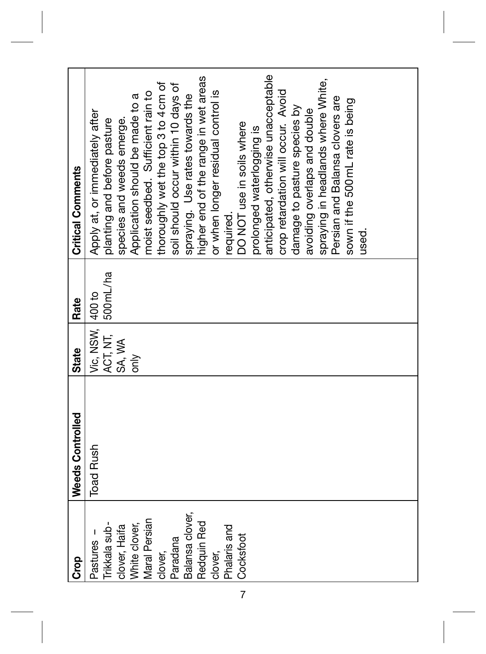| <b>Crop</b>     | <b>Weeds Controlled</b> | State            | Rate      | <b>Critical Comments</b>             |
|-----------------|-------------------------|------------------|-----------|--------------------------------------|
| Pastures -      | <b>Toad Rush</b>        | Vic, NSW, 400 to |           | Apply at, or immediately after       |
| Trikkala sub-   |                         | ACT, NT,         | 500 mL/ha | planting and before pasture          |
| clover, Haifa   |                         | SA, WA           |           | species and weeds emerge.            |
| White clover,   |                         | only             |           | Application should be made to a      |
| Maral Persian   |                         |                  |           | moist seedbed. Sufficient rain to    |
| clover,         |                         |                  |           | thoroughly wet the top 3 to 4 cm of  |
| Paradana        |                         |                  |           | soil should occur within 10 days of  |
| Balansa clover, |                         |                  |           | spraying. Use rates towards the      |
| Redquin Red     |                         |                  |           | higher end of the range in wet areas |
| clover,         |                         |                  |           | or when longer residual control is   |
| Phalaris and    |                         |                  |           | required.                            |
| Cocksfoot       |                         |                  |           | OO NOT use in soils where            |
|                 |                         |                  |           | prolonged waterlogging is            |
|                 |                         |                  |           | anticipated, otherwise unacceptable  |
|                 |                         |                  |           | crop retardation will occur. Avoid   |
|                 |                         |                  |           | damage to pasture species by         |
|                 |                         |                  |           | avoiding overlaps and double         |
|                 |                         |                  |           | spraying in headlands where White,   |
|                 |                         |                  |           | Persian and Balansa clovers are      |
|                 |                         |                  |           | sown if the 500mL rate is being      |
|                 |                         |                  |           | used.                                |
|                 |                         |                  |           |                                      |
|                 |                         |                  |           |                                      |
|                 |                         |                  |           |                                      |
|                 |                         |                  |           |                                      |

7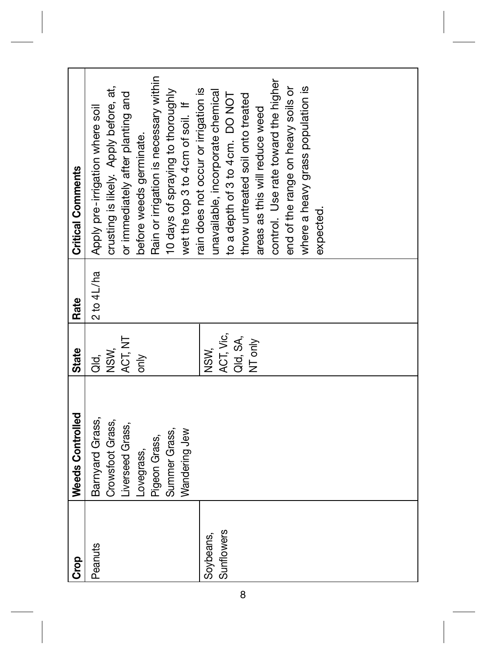| <b>Crop</b> | <b>Weeds Controlled</b> | <b>State</b>  | Rate        | <b>Critical Comments</b>               |
|-------------|-------------------------|---------------|-------------|----------------------------------------|
|             |                         |               |             |                                        |
| Peanuts     | Barnyard Grass,         | ai<br>T       | 2 to 4 L/ha | Apply pre-irrigation where soil        |
|             | Crowsfoot Grass,        | NSW,          |             | crusting is likely. Apply before, at,  |
|             | Liverseed Grass,        | ACT, NT       |             | or immediately after planting and      |
|             | Lovegrass,              | $\frac{y}{6}$ |             | before weeds germinate.                |
|             | Pigeon Grass,           |               |             | Rain or irrigation is necessary within |
|             | Summer Grass,           |               |             | 10 days of spraying to thoroughly      |
|             | Wandering Jew           |               |             | wet the top 3 to 4cm of soil. If       |
|             |                         |               |             | rain does not occur or irrigation is   |
| Soybeans,   |                         | NSW,          |             | unavailable, incorporate chemical      |
| Sunflowers  |                         | ACT, Vic,     |             | to a depth of 3 to 4 cm. DO NOT        |
|             |                         | Qld, SA,      |             | throw untreated soil onto treated      |
|             |                         | NT only       |             | areas as this will reduce weed         |
|             |                         |               |             | control. Use rate toward the higher    |
|             |                         |               |             | end of the range on heavy soils or     |
|             |                         |               |             | where a heavy grass population is      |
|             |                         |               |             | expected.                              |
|             |                         |               |             |                                        |
|             |                         |               |             |                                        |
|             |                         |               |             |                                        |
|             |                         |               |             |                                        |
|             |                         |               |             |                                        |
|             |                         |               |             |                                        |
|             |                         |               |             |                                        |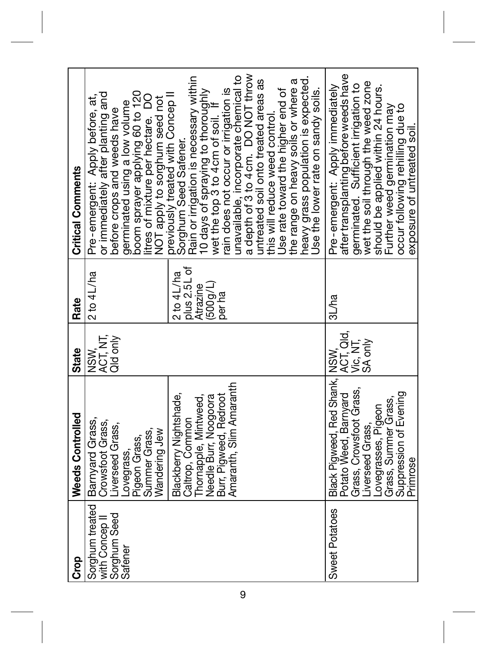| <b>Critical Comments</b> | boom sprayer applying 60 to 120<br>NOT apply to sorghum seed not<br>previously treated with Concep II<br>or immediately after planting and<br>Pre-emergent: Apply before, at,<br>itres of mixture per hectare. DO<br>germinated using a low volume<br>before crops and weeds have | a depth of 3 to 4 cm. DO NOT throw<br>unavailable, incorporate chemical to<br>Sorghum Seed Safener.<br>Rain or irrigation is necessary within<br>neavy grass population is expected.<br>untreated soil onto treated areas as<br>the range on heavy soils or where a<br>rain does not occur or irrigation is<br>Jse rate toward the higher end of<br>Use the lower rate on sandy soils.<br>10 days of spraying to thoroughly<br>wet the top 3 to 4 cm of soil. If<br>this will reduce weed control. | aftertransplanting before weeds have<br>germinated. Sufficient irrigation to<br>wet the soil through the weed zone<br>Pre-emergent: Apply immediately<br>should be applied within 24 hours.<br>occur following rehilling due to<br>Further weed germination may<br>exposure of untreated soil. |
|--------------------------|-----------------------------------------------------------------------------------------------------------------------------------------------------------------------------------------------------------------------------------------------------------------------------------|----------------------------------------------------------------------------------------------------------------------------------------------------------------------------------------------------------------------------------------------------------------------------------------------------------------------------------------------------------------------------------------------------------------------------------------------------------------------------------------------------|------------------------------------------------------------------------------------------------------------------------------------------------------------------------------------------------------------------------------------------------------------------------------------------------|
| Rate                     | $2$ to $4$ L/ha                                                                                                                                                                                                                                                                   | plus 2.5L of<br>$2$ to $4L$ /ha<br>(500g/L)<br>Atrazine<br>per ha                                                                                                                                                                                                                                                                                                                                                                                                                                  | 3L/ha                                                                                                                                                                                                                                                                                          |
| <b>State</b>             | ACT, NT,<br>Qld only<br>NSW.                                                                                                                                                                                                                                                      |                                                                                                                                                                                                                                                                                                                                                                                                                                                                                                    | ACT, Qld,<br>Vic, NT,<br>SA only                                                                                                                                                                                                                                                               |
| Weeds Controlled         | Barnyard Grass,<br>Crowsfoot Grass,<br>Liverseed Grass,<br>Wandering Jew<br>Summer Grass,<br>Pigeon Grass,<br>-ovegrass,                                                                                                                                                          | Amaranth, Slim Amaranth<br>Blackberry Nightshade,<br>Burr, Pigweed, Redroot<br>Needle Burr, Noogoora<br>Thornapple, Mintweed,<br>Caltrop, Common                                                                                                                                                                                                                                                                                                                                                   | Black Pigweed, Red Shank, NSW,<br>Grass, Crowsfoot Grass,<br>Suppression of Evening<br>Potato Weed, Barnyard<br>Grass, Summer Grass.<br>Lovegrasses, Pigeon<br>iverseed Grass,<br>Primrose                                                                                                     |
| Crop                     | Sorghum treated<br>Sorghum Seed<br>with Concep <sup>II</sup><br>Safener                                                                                                                                                                                                           |                                                                                                                                                                                                                                                                                                                                                                                                                                                                                                    | Sweet Potatoes                                                                                                                                                                                                                                                                                 |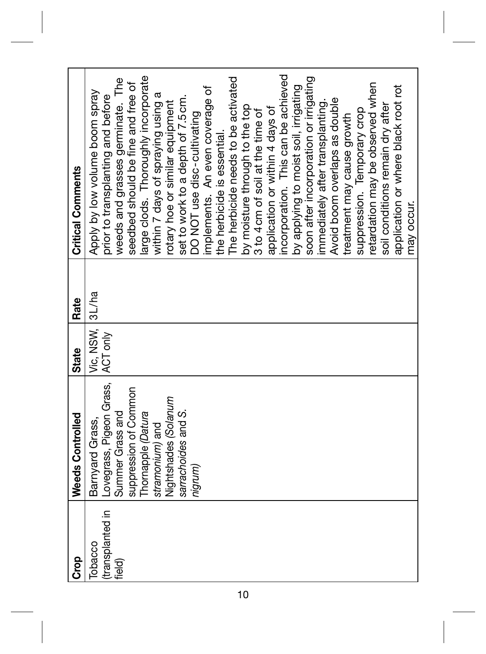| <b>Orop</b>                | <b>Weeds Controlled</b>                      | <b>State</b>    | Rate | <b>Critical Comments</b>                                              |
|----------------------------|----------------------------------------------|-----------------|------|-----------------------------------------------------------------------|
| Tobacco                    | Barnyard Grass,                              | Vic, NSW, 3L/ha |      | Apply by low volume boom spray                                        |
| (transplanted in<br>field) | Lovegrass, Pigeon Grass,<br>Summer Grass and | ACT only        |      | weeds and grasses germinate. The<br>prior to transplanting and before |
|                            | suppression of Common                        |                 |      | seedbed should be fine and free of                                    |
|                            | Thornapple (Datura                           |                 |      | arge clods. Thoroughly incorporate                                    |
|                            | stramonium) and                              |                 |      | within 7 days of spraying using a                                     |
|                            | Nightshades (Solanum                         |                 |      | rotary hoe or similar equipment                                       |
|                            | sarrachoides and S.                          |                 |      | set to work to a depth of 7.5 cm.                                     |
|                            | nigrum)                                      |                 |      | DO NOT use disc-cultivating                                           |
|                            |                                              |                 |      | implements. An even coverage of                                       |
|                            |                                              |                 |      | the herbicide is essential.                                           |
|                            |                                              |                 |      | The herbicide needs to be activated                                   |
|                            |                                              |                 |      | by moisture through to the top                                        |
|                            |                                              |                 |      | 3 to 4 cm of soil at the time of                                      |
|                            |                                              |                 |      | application or within 4 days of                                       |
|                            |                                              |                 |      | ncorporation. This can be achieved                                    |
|                            |                                              |                 |      | by applying to moist soil, irrigating                                 |
|                            |                                              |                 |      | soon after incorporation or irrigating                                |
|                            |                                              |                 |      | immediately after transplanting.                                      |
|                            |                                              |                 |      | Avoid boom overlaps as double                                         |
|                            |                                              |                 |      | treatment may cause growth                                            |
|                            |                                              |                 |      | suppression. Temporary crop                                           |
|                            |                                              |                 |      | etardation may be observed when                                       |
|                            |                                              |                 |      | soil conditions remain dry after                                      |
|                            |                                              |                 |      | application or where black root rot                                   |
|                            |                                              |                 |      | may occur.                                                            |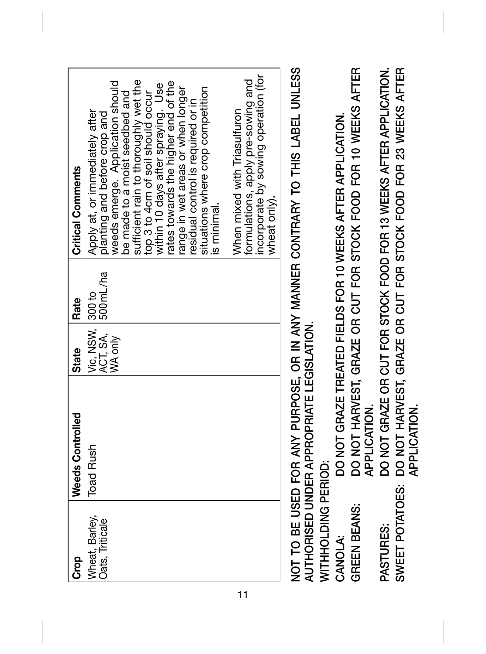| e<br>S                            | Weeds Controlled | State                        | <b>Rate</b> | <b>Critical Comments</b>                                                   |
|-----------------------------------|------------------|------------------------------|-------------|----------------------------------------------------------------------------|
| Wheat, Barley,<br>Oats, Triticale | <b>Toad Rush</b> | Vic, NSW, 300 to<br>ACT, SA, | 500 mL/ha   | Apply at, or immediately after<br>planting and before crop and             |
|                                   |                  | WA only                      |             | weeds emerge. Application should<br>be made to a moist seedbed and         |
|                                   |                  |                              |             | sufficient rain to thoroughly wet the<br>top 3 to 4cm of soil should occur |
|                                   |                  |                              |             | within 10 days after spraying. Use                                         |
|                                   |                  |                              |             | rates towards the higher end of the                                        |
|                                   |                  |                              |             | ange in wet areas or when longer                                           |
|                                   |                  |                              |             | residual control is required or in                                         |
|                                   |                  |                              |             | situations where crop competition                                          |
|                                   |                  |                              |             | is minimal.                                                                |
|                                   |                  |                              |             | When mixed with Triasulfuron                                               |
|                                   |                  |                              |             | ncorporate by sowing operation (for<br>formulations, apply pre-sowing and  |
|                                   |                  |                              |             | wheat only).                                                               |

**NOT TO BE USED FOR ANY PURPOSE, OR IN ANY MANNER CONTRARY TO THIS LABEL UNLESS**  NOT TO BE USED FOR ANY PURPOSE, OR IN ANY MANNER CONTRARY TO THIS LABEL UNLESS AUTHORISED UNDER APPROPRIATE LEGISLATION. **AUTHORISED UNDER APPROPRIATE LEGISLATION.**

WITHHOLDING PERIOD: **WITHHOLDING PERIOD:**

DO NOT HARVEST, GRAZE OR CUT FOR STOCK FOOD FOR 10 WEEKS AFTER **GREEN BEANS: DO NOT HARVEST, GRAZE OR CUT FOR STOCK FOOD FOR 10 WEEKS AFTER** DO NOT GRAZE TREATED FIELDS FOR 10 WEEKS AFTER APPLICATION. **CANOLA: DO NOT GRAZE TREATED FIELDS FOR 10 WEEKS AFTER APPLICATION.** APPLICATION.  **APPLICATION. GREEN BEANS: CANOLA:** 

DO NOT GRAZE OR CUT FOR STOCK FOOD FOR 13 WEEKS AFTER APPLICATION. DO NOT HARVEST, GRAZE OR CUT FOR STOCK FOOD FOR 23 WEEKS AFTER **PASTURES: DO NOT GRAZE OR CUT FOR STOCK FOOD FOR 13 WEEKS AFTER APPLICATION. SWEET POTATOES: DO NOT HARVEST, GRAZE OR CUT FOR STOCK FOOD FOR 23 WEEKS AFTER** APPLICATION.  **APPLICATION.**SWEET POTATOES: PASTURES:

11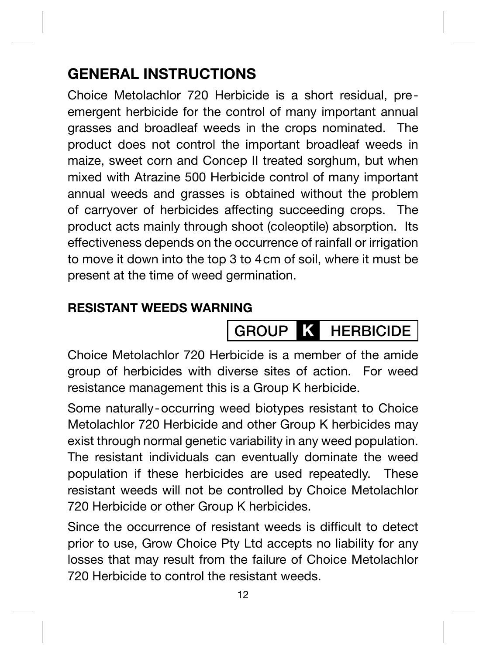## **GENERAL INSTRUCTIONS**

Choice Metolachlor 720 Herbicide is a short residual, preemergent herbicide for the control of many important annual grasses and broadleaf weeds in the crops nominated. The product does not control the important broadleaf weeds in maize, sweet corn and Concep II treated sorghum, but when mixed with Atrazine 500 Herbicide control of many important annual weeds and grasses is obtained without the problem of carryover of herbicides affecting succeeding crops. The product acts mainly through shoot (coleoptile) absorption. Its effectiveness depends on the occurrence of rainfall or irrigation to move it down into the top 3 to 4cm of soil, where it must be present at the time of weed germination.

#### **RESISTANT WEEDS WARNING**

# **GROUP K HERBICIDE**

Choice Metolachlor 720 Herbicide is a member of the amide group of herbicides with diverse sites of action. For weed resistance management this is a Group K herbicide.

Some naturally-occurring weed biotypes resistant to Choice Metolachlor 720 Herbicide and other Group K herbicides may exist through normal genetic variability in any weed population. The resistant individuals can eventually dominate the weed population if these herbicides are used repeatedly. These resistant weeds will not be controlled by Choice Metolachlor 720 Herbicide or other Group K herbicides.

Since the occurrence of resistant weeds is difficult to detect prior to use, Grow Choice Pty Ltd accepts no liability for any losses that may result from the failure of Choice Metolachlor 720 Herbicide to control the resistant weeds.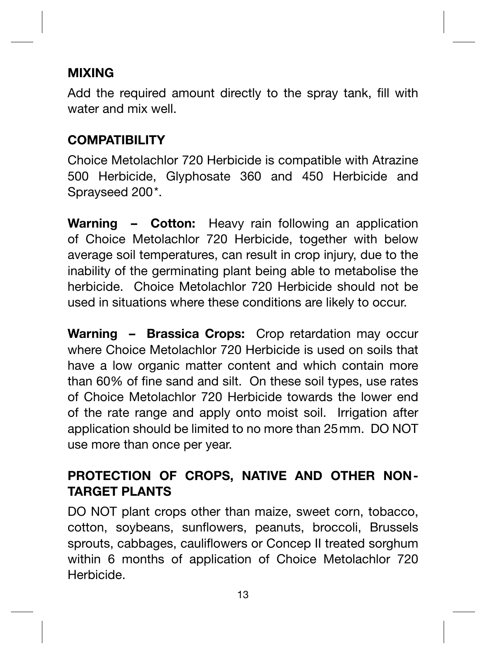#### **MIXING**

Add the required amount directly to the spray tank, fill with water and mix well.

#### **COMPATIBILITY**

Choice Metolachlor 720 Herbicide is compatible with Atrazine 500 Herbicide, Glyphosate 360 and 450 Herbicide and Sprayseed 200\*.

**Warning – Cotton:** Heavy rain following an application of Choice Metolachlor 720 Herbicide, together with below average soil temperatures, can result in crop injury, due to the inability of the germinating plant being able to metabolise the herbicide. Choice Metolachlor 720 Herbicide should not be used in situations where these conditions are likely to occur.

**Warning – Brassica Crops:** Crop retardation may occur where Choice Metolachlor 720 Herbicide is used on soils that have a low organic matter content and which contain more than 60% of fine sand and silt. On these soil types, use rates of Choice Metolachlor 720 Herbicide towards the lower end of the rate range and apply onto moist soil. Irrigation after application should be limited to no more than 25mm. DO NOT use more than once per year.

#### **PROTECTION OF CROPS, NATIVE AND OTHER NON-TARGET PLANTS**

DO NOT plant crops other than maize, sweet corn, tobacco, cotton, soybeans, sunflowers, peanuts, broccoli, Brussels sprouts, cabbages, cauliflowers or Concep II treated sorghum within 6 months of application of Choice Metolachlor 720 Herbicide.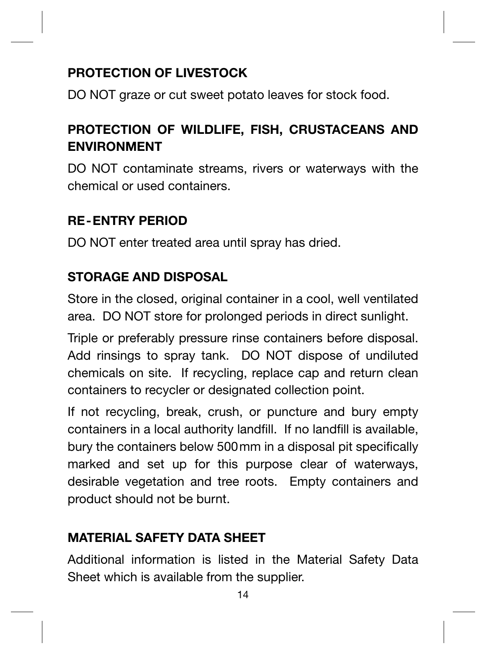#### **PROTECTION OF LIVESTOCK**

DO NOT graze or cut sweet potato leaves for stock food.

#### **PROTECTION OF WILDLIFE, FISH, CRUSTACEANS AND ENVIRONMENT**

DO NOT contaminate streams, rivers or waterways with the chemical or used containers.

#### **RE-ENTRY PERIOD**

DO NOT enter treated area until spray has dried.

#### **STORAGE AND DISPOSAL**

Store in the closed, original container in a cool, well ventilated area. DO NOT store for prolonged periods in direct sunlight.

Triple or preferably pressure rinse containers before disposal. Add rinsings to spray tank. DO NOT dispose of undiluted chemicals on site. If recycling, replace cap and return clean containers to recycler or designated collection point.

If not recycling, break, crush, or puncture and bury empty containers in a local authority landfill. If no landfill is available, bury the containers below 500 mm in a disposal pit specifically marked and set up for this purpose clear of waterways, desirable vegetation and tree roots. Empty containers and product should not be burnt.

#### **MATERIAL SAFETY DATA SHEET**

Additional information is listed in the Material Safety Data Sheet which is available from the supplier.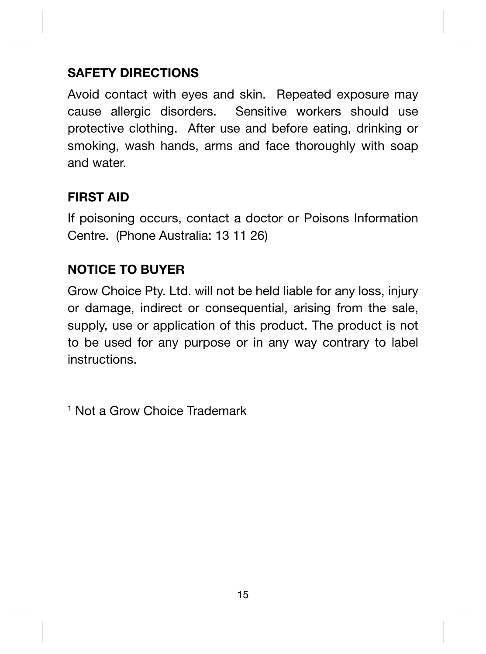#### **SAFETY DIRECTIONS**

Avoid contact with eyes and skin. Repeated exposure may cause allergic disorders. Sensitive workers should use protective clothing. After use and before eating, drinking or smoking, wash hands, arms and face thoroughly with soap and water.

#### **FIRST AID**

If poisoning occurs, contact a doctor or Poisons Information Centre. (Phone Australia: 13 11 26)

#### **NOTICE TO BUYER**

Grow Choice Pty. Ltd. will not be held liable for any loss, injury or damage, indirect or consequential, arising from the sale, supply, use or application of this product. The product is not to be used for any purpose or in any way contrary to label instructions.

1 Not a Grow Choice Trademark